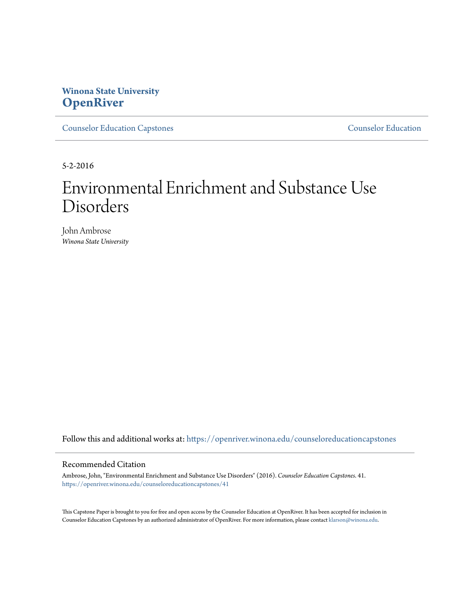# **Winona State University [OpenRiver](https://openriver.winona.edu?utm_source=openriver.winona.edu%2Fcounseloreducationcapstones%2F41&utm_medium=PDF&utm_campaign=PDFCoverPages)**

[Counselor Education Capstones](https://openriver.winona.edu/counseloreducationcapstones?utm_source=openriver.winona.edu%2Fcounseloreducationcapstones%2F41&utm_medium=PDF&utm_campaign=PDFCoverPages) [Counselor Education](https://openriver.winona.edu/counseloreducation?utm_source=openriver.winona.edu%2Fcounseloreducationcapstones%2F41&utm_medium=PDF&utm_campaign=PDFCoverPages)

5-2-2016

# Environmental Enrichment and Substance Use Disorders

John Ambrose *Winona State University*

Follow this and additional works at: [https://openriver.winona.edu/counseloreducationcapstones](https://openriver.winona.edu/counseloreducationcapstones?utm_source=openriver.winona.edu%2Fcounseloreducationcapstones%2F41&utm_medium=PDF&utm_campaign=PDFCoverPages)

#### Recommended Citation

Ambrose, John, "Environmental Enrichment and Substance Use Disorders" (2016). *Counselor Education Capstones*. 41. [https://openriver.winona.edu/counseloreducationcapstones/41](https://openriver.winona.edu/counseloreducationcapstones/41?utm_source=openriver.winona.edu%2Fcounseloreducationcapstones%2F41&utm_medium=PDF&utm_campaign=PDFCoverPages)

This Capstone Paper is brought to you for free and open access by the Counselor Education at OpenRiver. It has been accepted for inclusion in Counselor Education Capstones by an authorized administrator of OpenRiver. For more information, please contact [klarson@winona.edu](mailto:klarson@winona.edu).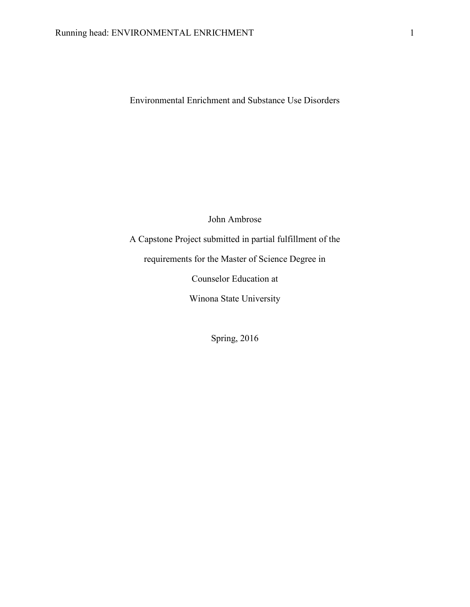Environmental Enrichment and Substance Use Disorders

John Ambrose

A Capstone Project submitted in partial fulfillment of the requirements for the Master of Science Degree in Counselor Education at Winona State University

Spring, 2016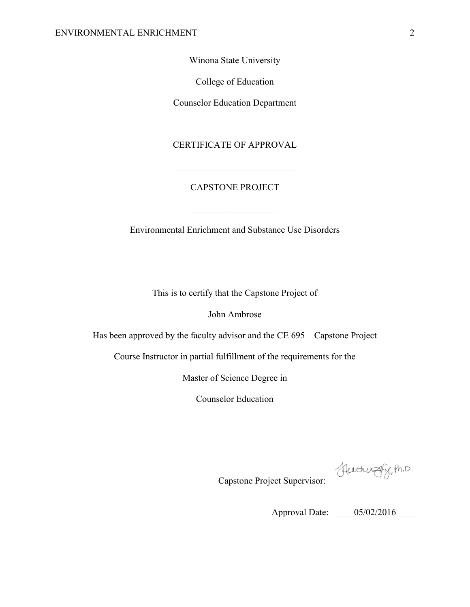Winona State University

College of Education

Counselor Education Department

## CERTIFICATE OF APPROVAL

 $\mathcal{L}_\text{max}$  , where  $\mathcal{L}_\text{max}$  and  $\mathcal{L}_\text{max}$ 

# CAPSTONE PROJECT

 $\mathcal{L}_\text{max}$  , where  $\mathcal{L}_\text{max}$  is the set of  $\mathcal{L}_\text{max}$ 

Environmental Enrichment and Substance Use Disorders

This is to certify that the Capstone Project of

John Ambrose

Has been approved by the faculty advisor and the CE 695 – Capstone Project

Course Instructor in partial fulfillment of the requirements for the

Master of Science Degree in

Counselor Education

Heathward Pr. Ph.D.

Capstone Project Supervisor:

Approval Date: \_\_\_\_05/02/2016\_\_\_\_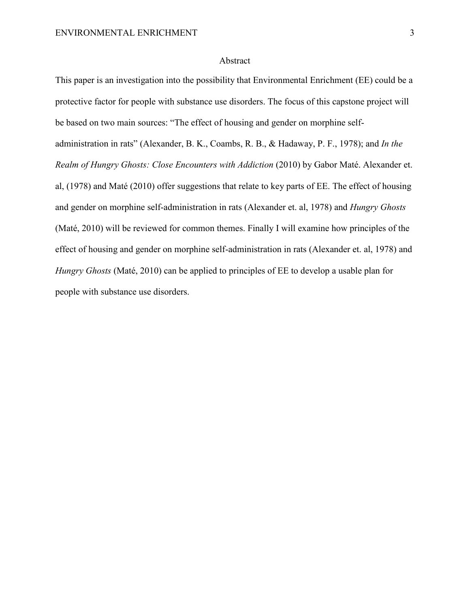#### Abstract

This paper is an investigation into the possibility that Environmental Enrichment (EE) could be a protective factor for people with substance use disorders. The focus of this capstone project will be based on two main sources: "The effect of housing and gender on morphine selfadministration in rats" (Alexander, B. K., Coambs, R. B., & Hadaway, P. F., 1978); and *In the Realm of Hungry Ghosts: Close Encounters with Addiction* (2010) by Gabor Maté. Alexander et. al, (1978) and Maté (2010) offer suggestions that relate to key parts of EE. The effect of housing and gender on morphine self-administration in rats (Alexander et. al, 1978) and *Hungry Ghosts* (Maté, 2010) will be reviewed for common themes. Finally I will examine how principles of the effect of housing and gender on morphine self-administration in rats (Alexander et. al, 1978) and *Hungry Ghosts* (Maté, 2010) can be applied to principles of EE to develop a usable plan for people with substance use disorders.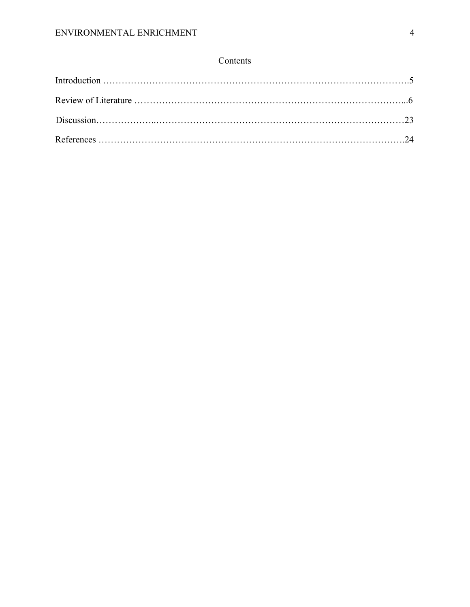# Contents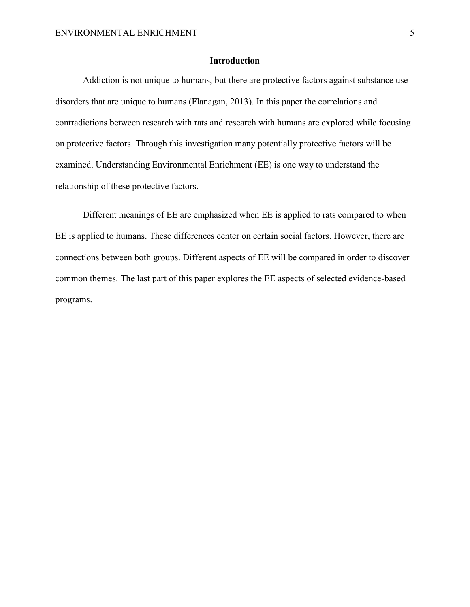# **Introduction**

Addiction is not unique to humans, but there are protective factors against substance use disorders that are unique to humans (Flanagan, 2013). In this paper the correlations and contradictions between research with rats and research with humans are explored while focusing on protective factors. Through this investigation many potentially protective factors will be examined. Understanding Environmental Enrichment (EE) is one way to understand the relationship of these protective factors.

Different meanings of EE are emphasized when EE is applied to rats compared to when EE is applied to humans. These differences center on certain social factors. However, there are connections between both groups. Different aspects of EE will be compared in order to discover common themes. The last part of this paper explores the EE aspects of selected evidence-based programs.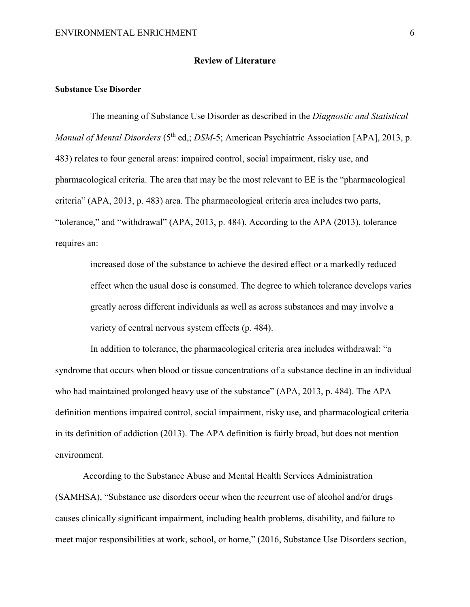#### **Review of Literature**

#### **Substance Use Disorder**

The meaning of Substance Use Disorder as described in the *Diagnostic and Statistical Manual of Mental Disorders* (5<sup>th</sup> ed.; *DSM*-5; American Psychiatric Association [APA], 2013, p. 483) relates to four general areas: impaired control, social impairment, risky use, and pharmacological criteria. The area that may be the most relevant to EE is the "pharmacological criteria" (APA, 2013, p. 483) area. The pharmacological criteria area includes two parts, "tolerance," and "withdrawal" (APA, 2013, p. 484). According to the APA (2013), tolerance requires an:

increased dose of the substance to achieve the desired effect or a markedly reduced effect when the usual dose is consumed. The degree to which tolerance develops varies greatly across different individuals as well as across substances and may involve a variety of central nervous system effects (p. 484).

In addition to tolerance, the pharmacological criteria area includes withdrawal: "a syndrome that occurs when blood or tissue concentrations of a substance decline in an individual who had maintained prolonged heavy use of the substance" (APA, 2013, p. 484). The APA definition mentions impaired control, social impairment, risky use, and pharmacological criteria in its definition of addiction (2013). The APA definition is fairly broad, but does not mention environment.

According to the Substance Abuse and Mental Health Services Administration (SAMHSA), "Substance use disorders occur when the recurrent use of alcohol and/or drugs causes clinically significant impairment, including health problems, disability, and failure to meet major responsibilities at work, school, or home," (2016, Substance Use Disorders section,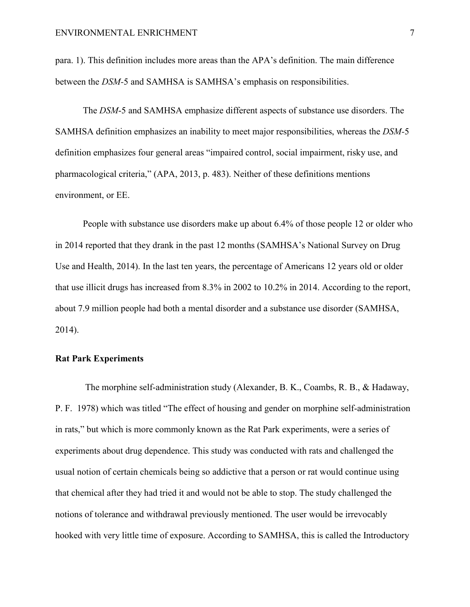para. 1). This definition includes more areas than the APA's definition. The main difference between the *DSM-*5 and SAMHSA is SAMHSA's emphasis on responsibilities.

The *DSM*-5 and SAMHSA emphasize different aspects of substance use disorders. The SAMHSA definition emphasizes an inability to meet major responsibilities, whereas the *DSM-*5 definition emphasizes four general areas "impaired control, social impairment, risky use, and pharmacological criteria," (APA, 2013, p. 483). Neither of these definitions mentions environment, or EE.

People with substance use disorders make up about 6.4% of those people 12 or older who in 2014 reported that they drank in the past 12 months (SAMHSA's National Survey on Drug Use and Health, 2014). In the last ten years, the percentage of Americans 12 years old or older that use illicit drugs has increased from 8.3% in 2002 to 10.2% in 2014. According to the report, about 7.9 million people had both a mental disorder and a substance use disorder (SAMHSA, 2014).

## **Rat Park Experiments**

The morphine self-administration study (Alexander, B. K., Coambs, R. B., & Hadaway, P. F. 1978) which was titled "The effect of housing and gender on morphine self-administration in rats," but which is more commonly known as the Rat Park experiments, were a series of experiments about drug dependence. This study was conducted with rats and challenged the usual notion of certain chemicals being so addictive that a person or rat would continue using that chemical after they had tried it and would not be able to stop. The study challenged the notions of tolerance and withdrawal previously mentioned. The user would be irrevocably hooked with very little time of exposure. According to SAMHSA, this is called the Introductory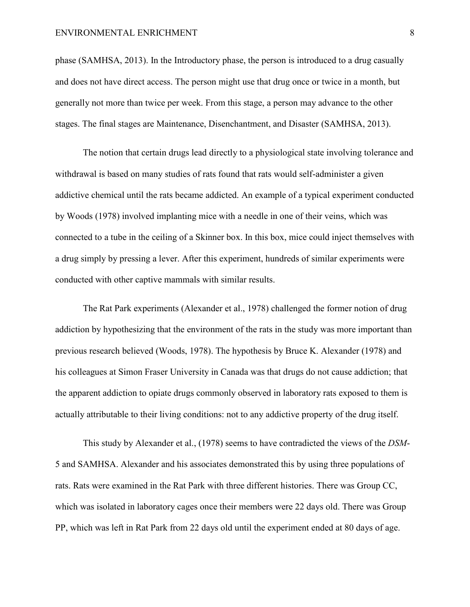#### ENVIRONMENTAL ENRICHMENT 8

phase (SAMHSA, 2013). In the Introductory phase, the person is introduced to a drug casually and does not have direct access. The person might use that drug once or twice in a month, but generally not more than twice per week. From this stage, a person may advance to the other stages. The final stages are Maintenance, Disenchantment, and Disaster (SAMHSA, 2013).

The notion that certain drugs lead directly to a physiological state involving tolerance and withdrawal is based on many studies of rats found that rats would self-administer a given addictive chemical until the rats became addicted. An example of a typical experiment conducted by Woods (1978) involved implanting mice with a needle in one of their veins, which was connected to a tube in the ceiling of a Skinner box. In this box, mice could inject themselves with a drug simply by pressing a lever. After this experiment, hundreds of similar experiments were conducted with other captive mammals with similar results.

The Rat Park experiments (Alexander et al., 1978) challenged the former notion of drug addiction by hypothesizing that the environment of the rats in the study was more important than previous research believed (Woods, 1978). The hypothesis by Bruce K. Alexander (1978) and his colleagues at Simon Fraser University in Canada was that drugs do not cause addiction; that the apparent addiction to opiate drugs commonly observed in laboratory rats exposed to them is actually attributable to their living conditions: not to any addictive property of the drug itself.

This study by Alexander et al., (1978) seems to have contradicted the views of the *DSM*-5 and SAMHSA. Alexander and his associates demonstrated this by using three populations of rats. Rats were examined in the Rat Park with three different histories. There was Group CC, which was isolated in laboratory cages once their members were 22 days old. There was Group PP, which was left in Rat Park from 22 days old until the experiment ended at 80 days of age.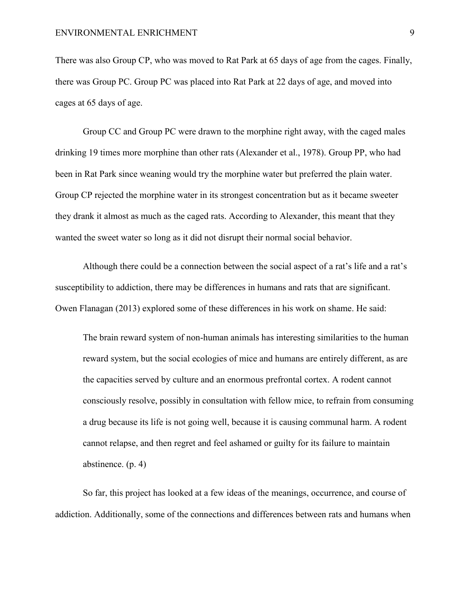There was also Group CP, who was moved to Rat Park at 65 days of age from the cages. Finally, there was Group PC. Group PC was placed into Rat Park at 22 days of age, and moved into cages at 65 days of age.

Group CC and Group PC were drawn to the morphine right away, with the caged males drinking 19 times more morphine than other rats (Alexander et al., 1978). Group PP, who had been in Rat Park since weaning would try the morphine water but preferred the plain water. Group CP rejected the morphine water in its strongest concentration but as it became sweeter they drank it almost as much as the caged rats. According to Alexander, this meant that they wanted the sweet water so long as it did not disrupt their normal social behavior.

Although there could be a connection between the social aspect of a rat's life and a rat's susceptibility to addiction, there may be differences in humans and rats that are significant. Owen Flanagan (2013) explored some of these differences in his work on shame. He said:

The brain reward system of non-human animals has interesting similarities to the human reward system, but the social ecologies of mice and humans are entirely different, as are the capacities served by culture and an enormous prefrontal cortex. A rodent cannot consciously resolve, possibly in consultation with fellow mice, to refrain from consuming a drug because its life is not going well, because it is causing communal harm. A rodent cannot relapse, and then regret and feel ashamed or guilty for its failure to maintain abstinence. (p. 4)

So far, this project has looked at a few ideas of the meanings, occurrence, and course of addiction. Additionally, some of the connections and differences between rats and humans when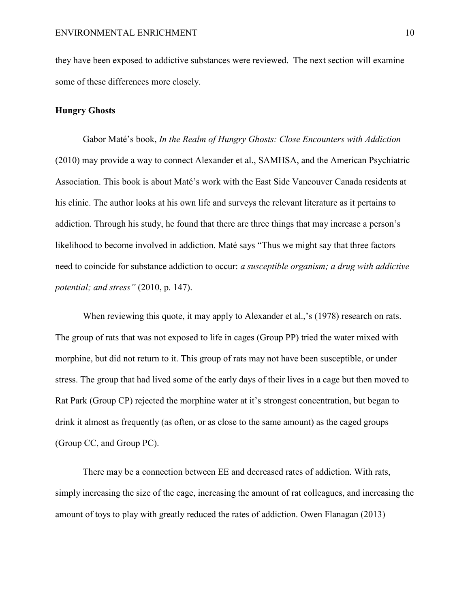they have been exposed to addictive substances were reviewed. The next section will examine some of these differences more closely.

#### **Hungry Ghosts**

Gabor Maté's book, *In the Realm of Hungry Ghosts: Close Encounters with Addiction* (2010) may provide a way to connect Alexander et al., SAMHSA, and the American Psychiatric Association. This book is about Maté's work with the East Side Vancouver Canada residents at his clinic. The author looks at his own life and surveys the relevant literature as it pertains to addiction. Through his study, he found that there are three things that may increase a person's likelihood to become involved in addiction. Maté says "Thus we might say that three factors need to coincide for substance addiction to occur: *a susceptible organism; a drug with addictive potential; and stress"* (2010, p. 147).

When reviewing this quote, it may apply to Alexander et al.,'s (1978) research on rats. The group of rats that was not exposed to life in cages (Group PP) tried the water mixed with morphine, but did not return to it. This group of rats may not have been susceptible, or under stress. The group that had lived some of the early days of their lives in a cage but then moved to Rat Park (Group CP) rejected the morphine water at it's strongest concentration, but began to drink it almost as frequently (as often, or as close to the same amount) as the caged groups (Group CC, and Group PC).

There may be a connection between EE and decreased rates of addiction. With rats, simply increasing the size of the cage, increasing the amount of rat colleagues, and increasing the amount of toys to play with greatly reduced the rates of addiction. Owen Flanagan (2013)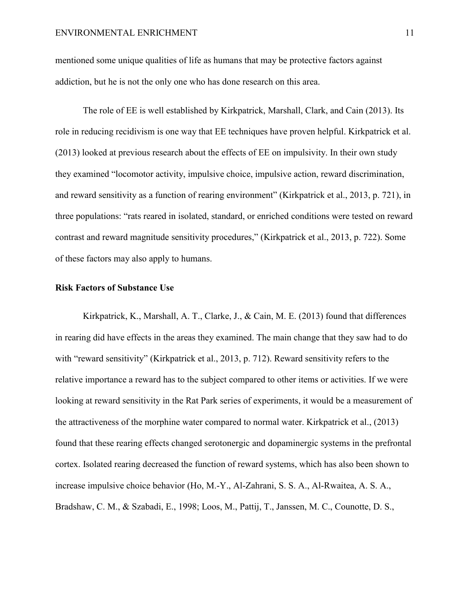mentioned some unique qualities of life as humans that may be protective factors against addiction, but he is not the only one who has done research on this area.

The role of EE is well established by Kirkpatrick, Marshall, Clark, and Cain (2013). Its role in reducing recidivism is one way that EE techniques have proven helpful. Kirkpatrick et al. (2013) looked at previous research about the effects of EE on impulsivity. In their own study they examined "locomotor activity, impulsive choice, impulsive action, reward discrimination, and reward sensitivity as a function of rearing environment" (Kirkpatrick et al., 2013, p. 721), in three populations: "rats reared in isolated, standard, or enriched conditions were tested on reward contrast and reward magnitude sensitivity procedures," (Kirkpatrick et al., 2013, p. 722). Some of these factors may also apply to humans.

#### **Risk Factors of Substance Use**

Kirkpatrick, K., Marshall, A. T., Clarke, J., & Cain, M. E. (2013) found that differences in rearing did have effects in the areas they examined. The main change that they saw had to do with "reward sensitivity" (Kirkpatrick et al., 2013, p. 712). Reward sensitivity refers to the relative importance a reward has to the subject compared to other items or activities. If we were looking at reward sensitivity in the Rat Park series of experiments, it would be a measurement of the attractiveness of the morphine water compared to normal water. Kirkpatrick et al., (2013) found that these rearing effects changed serotonergic and dopaminergic systems in the prefrontal cortex. Isolated rearing decreased the function of reward systems, which has also been shown to increase impulsive choice behavior (Ho, M.-Y., Al-Zahrani, S. S. A., Al-Rwaitea, A. S. A., Bradshaw, C. M., & Szabadi, E., 1998; Loos, M., Pattij, T., Janssen, M. C., Counotte, D. S.,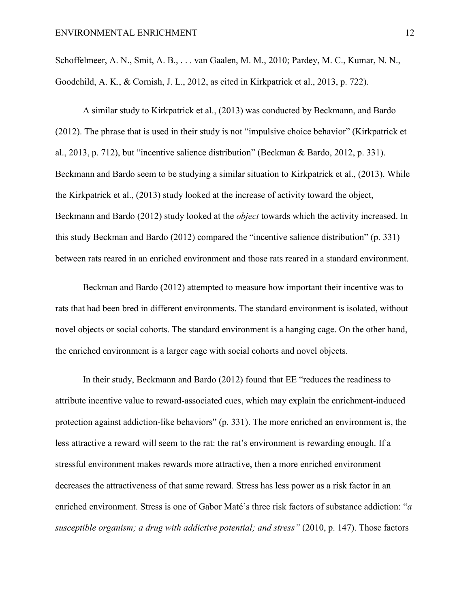Schoffelmeer, A. N., Smit, A. B., . . . van Gaalen, M. M., 2010; Pardey, M. C., Kumar, N. N., Goodchild, A. K., & Cornish, J. L., 2012, as cited in Kirkpatrick et al., 2013, p. 722).

A similar study to Kirkpatrick et al., (2013) was conducted by Beckmann, and Bardo (2012). The phrase that is used in their study is not "impulsive choice behavior" (Kirkpatrick et al., 2013, p. 712), but "incentive salience distribution" (Beckman & Bardo, 2012, p. 331). Beckmann and Bardo seem to be studying a similar situation to Kirkpatrick et al., (2013). While the Kirkpatrick et al., (2013) study looked at the increase of activity toward the object, Beckmann and Bardo (2012) study looked at the *object* towards which the activity increased. In this study Beckman and Bardo (2012) compared the "incentive salience distribution" (p. 331) between rats reared in an enriched environment and those rats reared in a standard environment.

Beckman and Bardo (2012) attempted to measure how important their incentive was to rats that had been bred in different environments. The standard environment is isolated, without novel objects or social cohorts. The standard environment is a hanging cage. On the other hand, the enriched environment is a larger cage with social cohorts and novel objects.

In their study, Beckmann and Bardo (2012) found that EE "reduces the readiness to attribute incentive value to reward-associated cues, which may explain the enrichment-induced protection against addiction-like behaviors" (p. 331). The more enriched an environment is, the less attractive a reward will seem to the rat: the rat's environment is rewarding enough. If a stressful environment makes rewards more attractive, then a more enriched environment decreases the attractiveness of that same reward. Stress has less power as a risk factor in an enriched environment. Stress is one of Gabor Maté's three risk factors of substance addiction: "*a susceptible organism; a drug with addictive potential; and stress"* (2010, p. 147). Those factors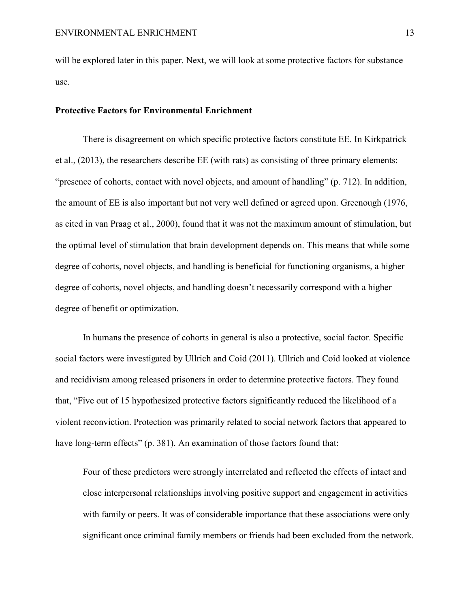will be explored later in this paper. Next, we will look at some protective factors for substance use.

#### **Protective Factors for Environmental Enrichment**

There is disagreement on which specific protective factors constitute EE. In Kirkpatrick et al., (2013), the researchers describe EE (with rats) as consisting of three primary elements: "presence of cohorts, contact with novel objects, and amount of handling" (p. 712). In addition, the amount of EE is also important but not very well defined or agreed upon. Greenough (1976, as cited in van Praag et al., 2000), found that it was not the maximum amount of stimulation, but the optimal level of stimulation that brain development depends on. This means that while some degree of cohorts, novel objects, and handling is beneficial for functioning organisms, a higher degree of cohorts, novel objects, and handling doesn't necessarily correspond with a higher degree of benefit or optimization.

In humans the presence of cohorts in general is also a protective, social factor. Specific social factors were investigated by Ullrich and Coid (2011). Ullrich and Coid looked at violence and recidivism among released prisoners in order to determine protective factors. They found that, "Five out of 15 hypothesized protective factors significantly reduced the likelihood of a violent reconviction. Protection was primarily related to social network factors that appeared to have long-term effects" (p. 381). An examination of those factors found that:

Four of these predictors were strongly interrelated and reflected the effects of intact and close interpersonal relationships involving positive support and engagement in activities with family or peers. It was of considerable importance that these associations were only significant once criminal family members or friends had been excluded from the network.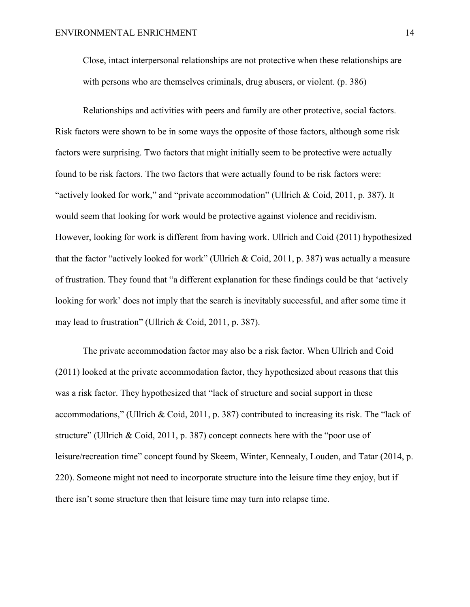Close, intact interpersonal relationships are not protective when these relationships are with persons who are themselves criminals, drug abusers, or violent. (p. 386)

Relationships and activities with peers and family are other protective, social factors. Risk factors were shown to be in some ways the opposite of those factors, although some risk factors were surprising. Two factors that might initially seem to be protective were actually found to be risk factors. The two factors that were actually found to be risk factors were: "actively looked for work," and "private accommodation" (Ullrich & Coid, 2011, p. 387). It would seem that looking for work would be protective against violence and recidivism. However, looking for work is different from having work. Ullrich and Coid (2011) hypothesized that the factor "actively looked for work" (Ullrich & Coid, 2011, p. 387) was actually a measure of frustration. They found that "a different explanation for these findings could be that 'actively looking for work' does not imply that the search is inevitably successful, and after some time it may lead to frustration" (Ullrich & Coid, 2011, p. 387).

The private accommodation factor may also be a risk factor. When Ullrich and Coid (2011) looked at the private accommodation factor, they hypothesized about reasons that this was a risk factor. They hypothesized that "lack of structure and social support in these accommodations," (Ullrich & Coid, 2011, p. 387) contributed to increasing its risk. The "lack of structure" (Ullrich & Coid, 2011, p. 387) concept connects here with the "poor use of leisure/recreation time" concept found by Skeem, Winter, Kennealy, Louden, and Tatar (2014, p. 220). Someone might not need to incorporate structure into the leisure time they enjoy, but if there isn't some structure then that leisure time may turn into relapse time.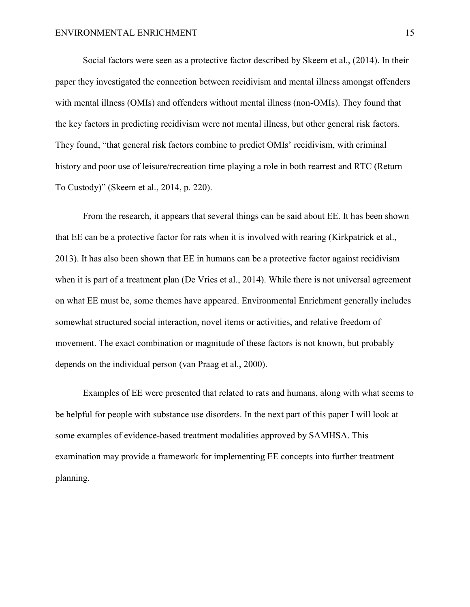Social factors were seen as a protective factor described by Skeem et al., (2014). In their paper they investigated the connection between recidivism and mental illness amongst offenders with mental illness (OMIs) and offenders without mental illness (non-OMIs). They found that the key factors in predicting recidivism were not mental illness, but other general risk factors. They found, "that general risk factors combine to predict OMIs' recidivism, with criminal history and poor use of leisure/recreation time playing a role in both rearrest and RTC (Return To Custody)" (Skeem et al., 2014, p. 220).

From the research, it appears that several things can be said about EE. It has been shown that EE can be a protective factor for rats when it is involved with rearing (Kirkpatrick et al., 2013). It has also been shown that EE in humans can be a protective factor against recidivism when it is part of a treatment plan (De Vries et al., 2014). While there is not universal agreement on what EE must be, some themes have appeared. Environmental Enrichment generally includes somewhat structured social interaction, novel items or activities, and relative freedom of movement. The exact combination or magnitude of these factors is not known, but probably depends on the individual person (van Praag et al., 2000).

Examples of EE were presented that related to rats and humans, along with what seems to be helpful for people with substance use disorders. In the next part of this paper I will look at some examples of evidence-based treatment modalities approved by SAMHSA. This examination may provide a framework for implementing EE concepts into further treatment planning.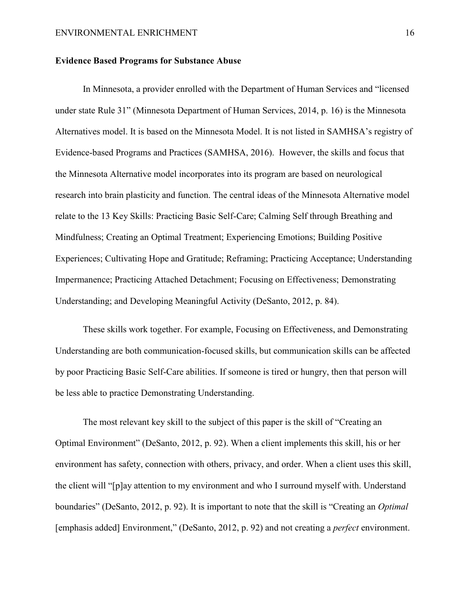#### **Evidence Based Programs for Substance Abuse**

In Minnesota, a provider enrolled with the Department of Human Services and "licensed under state Rule 31" (Minnesota Department of Human Services, 2014, p. 16) is the Minnesota Alternatives model. It is based on the Minnesota Model. It is not listed in SAMHSA's registry of Evidence-based Programs and Practices (SAMHSA, 2016). However, the skills and focus that the Minnesota Alternative model incorporates into its program are based on neurological research into brain plasticity and function. The central ideas of the Minnesota Alternative model relate to the 13 Key Skills: Practicing Basic Self-Care; Calming Self through Breathing and Mindfulness; Creating an Optimal Treatment; Experiencing Emotions; Building Positive Experiences; Cultivating Hope and Gratitude; Reframing; Practicing Acceptance; Understanding Impermanence; Practicing Attached Detachment; Focusing on Effectiveness; Demonstrating Understanding; and Developing Meaningful Activity (DeSanto, 2012, p. 84).

These skills work together. For example, Focusing on Effectiveness, and Demonstrating Understanding are both communication-focused skills, but communication skills can be affected by poor Practicing Basic Self-Care abilities. If someone is tired or hungry, then that person will be less able to practice Demonstrating Understanding.

The most relevant key skill to the subject of this paper is the skill of "Creating an Optimal Environment" (DeSanto, 2012, p. 92). When a client implements this skill, his or her environment has safety, connection with others, privacy, and order. When a client uses this skill, the client will "[p]ay attention to my environment and who I surround myself with. Understand boundaries" (DeSanto, 2012, p. 92). It is important to note that the skill is "Creating an *Optimal*  [emphasis added] Environment," (DeSanto, 2012, p. 92) and not creating a *perfect* environment.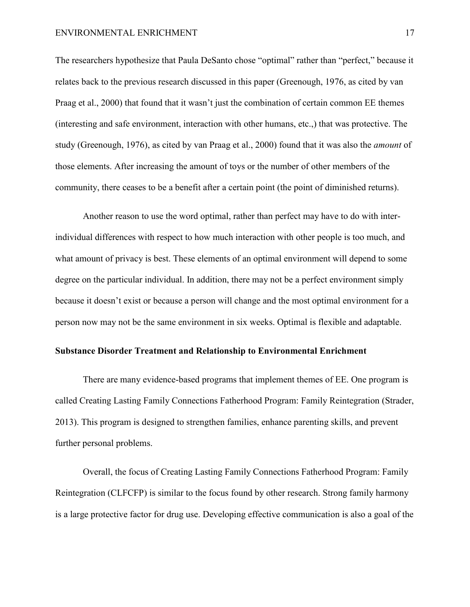#### ENVIRONMENTAL ENRICHMENT 17

The researchers hypothesize that Paula DeSanto chose "optimal" rather than "perfect," because it relates back to the previous research discussed in this paper (Greenough, 1976, as cited by van Praag et al., 2000) that found that it wasn't just the combination of certain common EE themes (interesting and safe environment, interaction with other humans, etc.,) that was protective. The study (Greenough, 1976), as cited by van Praag et al., 2000) found that it was also the *amount* of those elements. After increasing the amount of toys or the number of other members of the community, there ceases to be a benefit after a certain point (the point of diminished returns).

Another reason to use the word optimal, rather than perfect may have to do with interindividual differences with respect to how much interaction with other people is too much, and what amount of privacy is best. These elements of an optimal environment will depend to some degree on the particular individual. In addition, there may not be a perfect environment simply because it doesn't exist or because a person will change and the most optimal environment for a person now may not be the same environment in six weeks. Optimal is flexible and adaptable.

#### **Substance Disorder Treatment and Relationship to Environmental Enrichment**

There are many evidence-based programs that implement themes of EE. One program is called Creating Lasting Family Connections Fatherhood Program: Family Reintegration (Strader, 2013). This program is designed to strengthen families, enhance parenting skills, and prevent further personal problems.

Overall, the focus of Creating Lasting Family Connections Fatherhood Program: Family Reintegration (CLFCFP) is similar to the focus found by other research. Strong family harmony is a large protective factor for drug use. Developing effective communication is also a goal of the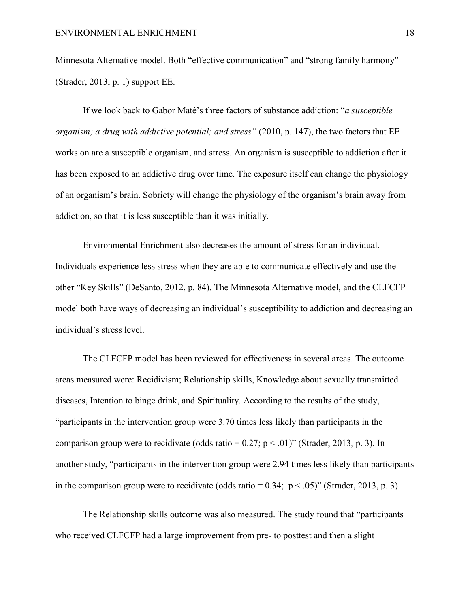Minnesota Alternative model. Both "effective communication" and "strong family harmony" (Strader, 2013, p. 1) support EE.

If we look back to Gabor Maté's three factors of substance addiction: "*a susceptible organism; a drug with addictive potential; and stress"* (2010, p. 147), the two factors that EE works on are a susceptible organism, and stress. An organism is susceptible to addiction after it has been exposed to an addictive drug over time. The exposure itself can change the physiology of an organism's brain. Sobriety will change the physiology of the organism's brain away from addiction, so that it is less susceptible than it was initially.

Environmental Enrichment also decreases the amount of stress for an individual. Individuals experience less stress when they are able to communicate effectively and use the other "Key Skills" (DeSanto, 2012, p. 84). The Minnesota Alternative model, and the CLFCFP model both have ways of decreasing an individual's susceptibility to addiction and decreasing an individual's stress level.

The CLFCFP model has been reviewed for effectiveness in several areas. The outcome areas measured were: Recidivism; Relationship skills, Knowledge about sexually transmitted diseases, Intention to binge drink, and Spirituality. According to the results of the study, "participants in the intervention group were 3.70 times less likely than participants in the comparison group were to recidivate (odds ratio =  $0.27$ ; p < .01)" (Strader, 2013, p. 3). In another study, "participants in the intervention group were 2.94 times less likely than participants in the comparison group were to recidivate (odds ratio =  $0.34$ ; p <  $.05$ )" (Strader, 2013, p. 3).

The Relationship skills outcome was also measured. The study found that "participants who received CLFCFP had a large improvement from pre- to posttest and then a slight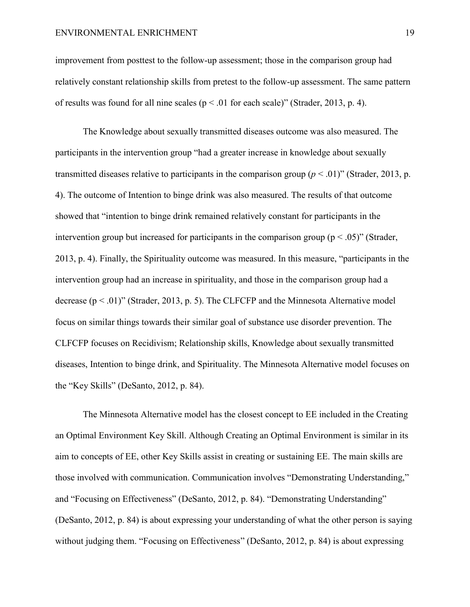#### ENVIRONMENTAL ENRICHMENT 19

improvement from posttest to the follow-up assessment; those in the comparison group had relatively constant relationship skills from pretest to the follow-up assessment. The same pattern of results was found for all nine scales ( $p < .01$  for each scale)" (Strader, 2013, p. 4).

The Knowledge about sexually transmitted diseases outcome was also measured. The participants in the intervention group "had a greater increase in knowledge about sexually transmitted diseases relative to participants in the comparison group  $(p < .01)$ " (Strader, 2013, p. 4). The outcome of Intention to binge drink was also measured. The results of that outcome showed that "intention to binge drink remained relatively constant for participants in the intervention group but increased for participants in the comparison group ( $p < .05$ )" (Strader, 2013, p. 4). Finally, the Spirituality outcome was measured. In this measure, "participants in the intervention group had an increase in spirituality, and those in the comparison group had a decrease  $(p < .01)$ " (Strader, 2013, p. 5). The CLFCFP and the Minnesota Alternative model focus on similar things towards their similar goal of substance use disorder prevention. The CLFCFP focuses on Recidivism; Relationship skills, Knowledge about sexually transmitted diseases, Intention to binge drink, and Spirituality. The Minnesota Alternative model focuses on the "Key Skills" (DeSanto, 2012, p. 84).

The Minnesota Alternative model has the closest concept to EE included in the Creating an Optimal Environment Key Skill. Although Creating an Optimal Environment is similar in its aim to concepts of EE, other Key Skills assist in creating or sustaining EE. The main skills are those involved with communication. Communication involves "Demonstrating Understanding," and "Focusing on Effectiveness" (DeSanto, 2012, p. 84). "Demonstrating Understanding" (DeSanto, 2012, p. 84) is about expressing your understanding of what the other person is saying without judging them. "Focusing on Effectiveness" (DeSanto, 2012, p. 84) is about expressing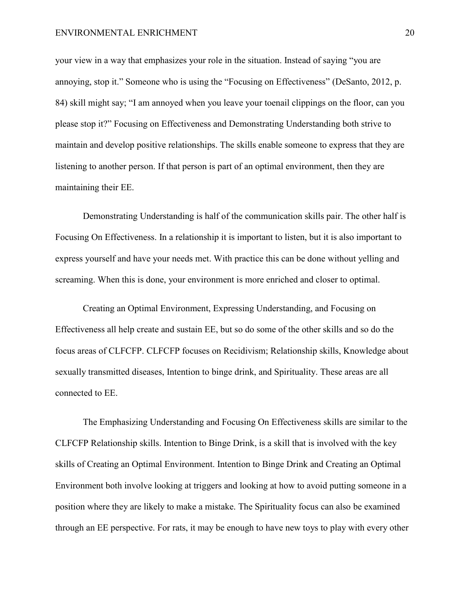#### ENVIRONMENTAL ENRICHMENT 20

your view in a way that emphasizes your role in the situation. Instead of saying "you are annoying, stop it." Someone who is using the "Focusing on Effectiveness" (DeSanto, 2012, p. 84) skill might say; "I am annoyed when you leave your toenail clippings on the floor, can you please stop it?" Focusing on Effectiveness and Demonstrating Understanding both strive to maintain and develop positive relationships. The skills enable someone to express that they are listening to another person. If that person is part of an optimal environment, then they are maintaining their EE.

Demonstrating Understanding is half of the communication skills pair. The other half is Focusing On Effectiveness. In a relationship it is important to listen, but it is also important to express yourself and have your needs met. With practice this can be done without yelling and screaming. When this is done, your environment is more enriched and closer to optimal.

Creating an Optimal Environment, Expressing Understanding, and Focusing on Effectiveness all help create and sustain EE, but so do some of the other skills and so do the focus areas of CLFCFP. CLFCFP focuses on Recidivism; Relationship skills, Knowledge about sexually transmitted diseases, Intention to binge drink, and Spirituality. These areas are all connected to EE.

The Emphasizing Understanding and Focusing On Effectiveness skills are similar to the CLFCFP Relationship skills. Intention to Binge Drink, is a skill that is involved with the key skills of Creating an Optimal Environment. Intention to Binge Drink and Creating an Optimal Environment both involve looking at triggers and looking at how to avoid putting someone in a position where they are likely to make a mistake. The Spirituality focus can also be examined through an EE perspective. For rats, it may be enough to have new toys to play with every other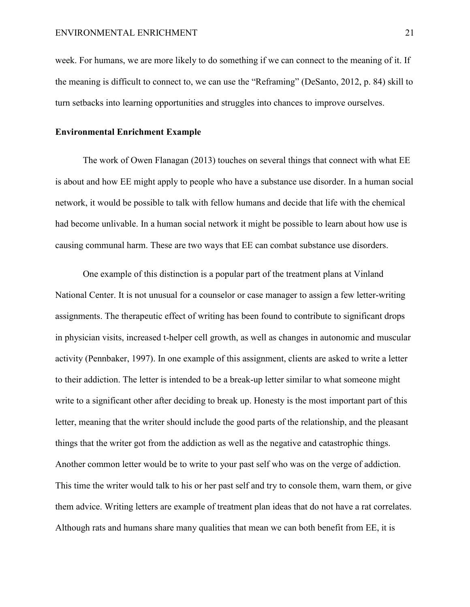week. For humans, we are more likely to do something if we can connect to the meaning of it. If the meaning is difficult to connect to, we can use the "Reframing" (DeSanto, 2012, p. 84) skill to turn setbacks into learning opportunities and struggles into chances to improve ourselves.

#### **Environmental Enrichment Example**

The work of Owen Flanagan (2013) touches on several things that connect with what EE is about and how EE might apply to people who have a substance use disorder. In a human social network, it would be possible to talk with fellow humans and decide that life with the chemical had become unlivable. In a human social network it might be possible to learn about how use is causing communal harm. These are two ways that EE can combat substance use disorders.

One example of this distinction is a popular part of the treatment plans at Vinland National Center. It is not unusual for a counselor or case manager to assign a few letter-writing assignments. The therapeutic effect of writing has been found to contribute to significant drops in physician visits, increased t-helper cell growth, as well as changes in autonomic and muscular activity (Pennbaker, 1997). In one example of this assignment, clients are asked to write a letter to their addiction. The letter is intended to be a break-up letter similar to what someone might write to a significant other after deciding to break up. Honesty is the most important part of this letter, meaning that the writer should include the good parts of the relationship, and the pleasant things that the writer got from the addiction as well as the negative and catastrophic things. Another common letter would be to write to your past self who was on the verge of addiction. This time the writer would talk to his or her past self and try to console them, warn them, or give them advice. Writing letters are example of treatment plan ideas that do not have a rat correlates. Although rats and humans share many qualities that mean we can both benefit from EE, it is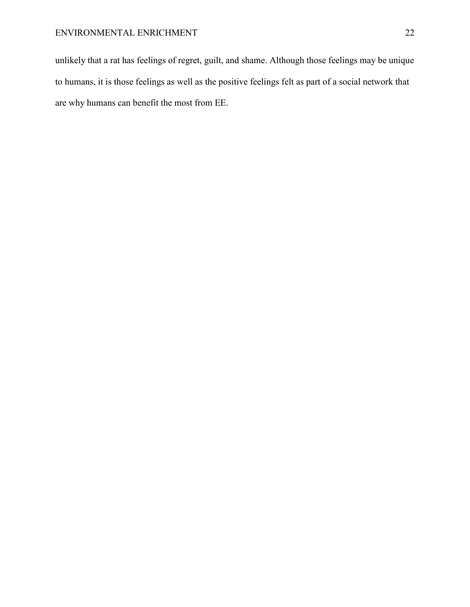unlikely that a rat has feelings of regret, guilt, and shame. Although those feelings may be unique to humans, it is those feelings as well as the positive feelings felt as part of a social network that are why humans can benefit the most from EE.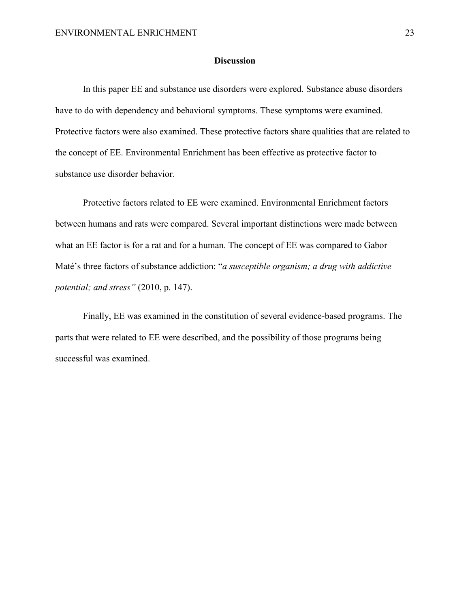### **Discussion**

In this paper EE and substance use disorders were explored. Substance abuse disorders have to do with dependency and behavioral symptoms. These symptoms were examined. Protective factors were also examined. These protective factors share qualities that are related to the concept of EE. Environmental Enrichment has been effective as protective factor to substance use disorder behavior.

Protective factors related to EE were examined. Environmental Enrichment factors between humans and rats were compared. Several important distinctions were made between what an EE factor is for a rat and for a human. The concept of EE was compared to Gabor Maté's three factors of substance addiction: "*a susceptible organism; a drug with addictive potential; and stress"* (2010, p. 147).

Finally, EE was examined in the constitution of several evidence-based programs. The parts that were related to EE were described, and the possibility of those programs being successful was examined.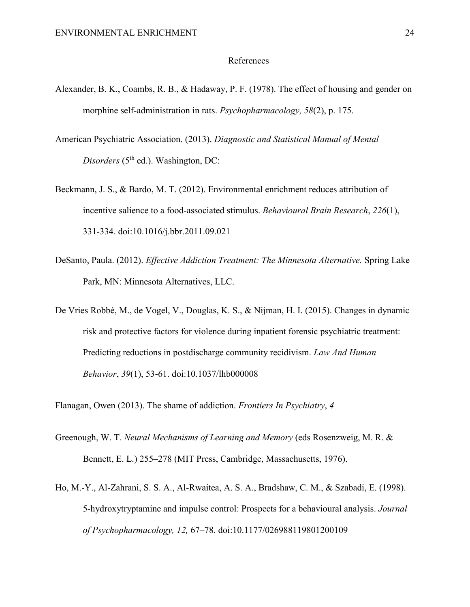#### References

- Alexander, B. K., Coambs, R. B., & Hadaway, P. F. (1978). The effect of housing and gender on morphine self-administration in rats. *Psychopharmacology, 58*(2), p. 175.
- American Psychiatric Association. (2013). *Diagnostic and Statistical Manual of Mental Disorders* (5<sup>th</sup> ed.). Washington, DC:
- Beckmann, J. S., & Bardo, M. T. (2012). Environmental enrichment reduces attribution of incentive salience to a food-associated stimulus. *Behavioural Brain Research*, *226*(1), 331-334. doi:10.1016/j.bbr.2011.09.021
- DeSanto, Paula. (2012). *Effective Addiction Treatment: The Minnesota Alternative.* Spring Lake Park, MN: Minnesota Alternatives, LLC.
- De Vries Robbé, M., de Vogel, V., Douglas, K. S., & Nijman, H. I. (2015). Changes in dynamic risk and protective factors for violence during inpatient forensic psychiatric treatment: Predicting reductions in postdischarge community recidivism. *Law And Human Behavior*, *39*(1), 53-61. doi:10.1037/lhb000008

Flanagan, Owen (2013). The shame of addiction. *Frontiers In Psychiatry*, *4*

- Greenough, W. T. *Neural Mechanisms of Learning and Memory* (eds Rosenzweig, M. R. & Bennett, E. L.) 255–278 (MIT Press, Cambridge, Massachusetts, 1976).
- Ho, M.-Y., Al-Zahrani, S. S. A., Al-Rwaitea, A. S. A., Bradshaw, C. M., & Szabadi, E. (1998). 5-hydroxytryptamine and impulse control: Prospects for a behavioural analysis. *Journal of Psychopharmacology, 12,* 67–78. doi:10.1177/026988119801200109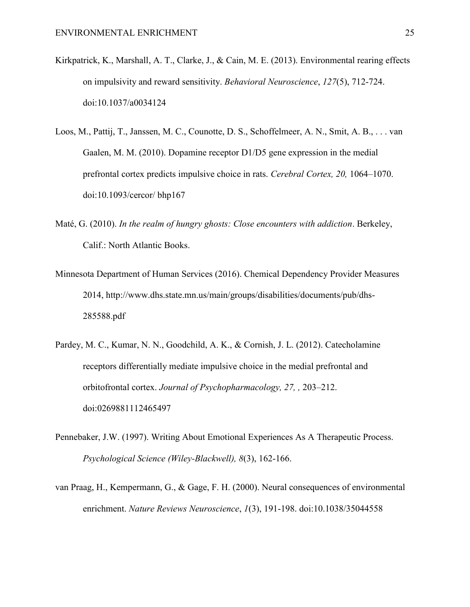- Kirkpatrick, K., Marshall, A. T., Clarke, J., & Cain, M. E. (2013). Environmental rearing effects on impulsivity and reward sensitivity. *Behavioral Neuroscience*, *127*(5), 712-724. doi:10.1037/a0034124
- Loos, M., Pattij, T., Janssen, M. C., Counotte, D. S., Schoffelmeer, A. N., Smit, A. B., . . . van Gaalen, M. M. (2010). Dopamine receptor D1/D5 gene expression in the medial prefrontal cortex predicts impulsive choice in rats. *Cerebral Cortex, 20,* 1064–1070. doi:10.1093/cercor/ bhp167
- Maté, G. (2010). *In the realm of hungry ghosts: Close encounters with addiction*. Berkeley, Calif.: North Atlantic Books.
- Minnesota Department of Human Services (2016). Chemical Dependency Provider Measures 2014, http://www.dhs.state.mn.us/main/groups/disabilities/documents/pub/dhs-285588.pdf
- Pardey, M. C., Kumar, N. N., Goodchild, A. K., & Cornish, J. L. (2012). Catecholamine receptors differentially mediate impulsive choice in the medial prefrontal and orbitofrontal cortex. *Journal of Psychopharmacology, 27, ,* 203–212. doi:0269881112465497
- Pennebaker, J.W. (1997). Writing About Emotional Experiences As A Therapeutic Process. *Psychological Science (Wiley-Blackwell), 8*(3), 162-166.
- van Praag, H., Kempermann, G., & Gage, F. H. (2000). Neural consequences of environmental enrichment. *Nature Reviews Neuroscience*, *1*(3), 191-198. doi:10.1038/35044558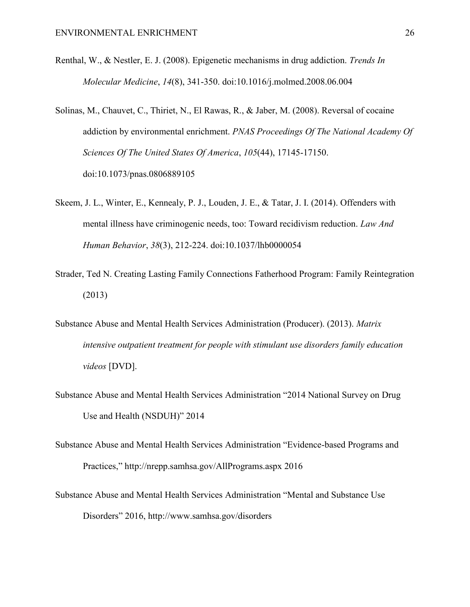- Renthal, W., & Nestler, E. J. (2008). Epigenetic mechanisms in drug addiction. *Trends In Molecular Medicine*, *14*(8), 341-350. doi:10.1016/j.molmed.2008.06.004
- Solinas, M., Chauvet, C., Thiriet, N., El Rawas, R., & Jaber, M. (2008). Reversal of cocaine addiction by environmental enrichment. *PNAS Proceedings Of The National Academy Of Sciences Of The United States Of America*, *105*(44), 17145-17150. doi:10.1073/pnas.0806889105
- Skeem, J. L., Winter, E., Kennealy, P. J., Louden, J. E., & Tatar, J. I. (2014). Offenders with mental illness have criminogenic needs, too: Toward recidivism reduction. *Law And Human Behavior*, *38*(3), 212-224. doi:10.1037/lhb0000054
- Strader, Ted N. Creating Lasting Family Connections Fatherhood Program: Family Reintegration (2013)
- Substance Abuse and Mental Health Services Administration (Producer). (2013). *Matrix intensive outpatient treatment for people with stimulant use disorders family education videos* [DVD].
- Substance Abuse and Mental Health Services Administration "2014 National Survey on Drug Use and Health (NSDUH)" 2014
- Substance Abuse and Mental Health Services Administration "Evidence-based Programs and Practices," http://nrepp.samhsa.gov/AllPrograms.aspx 2016
- Substance Abuse and Mental Health Services Administration "Mental and Substance Use Disorders" 2016, http://www.samhsa.gov/disorders